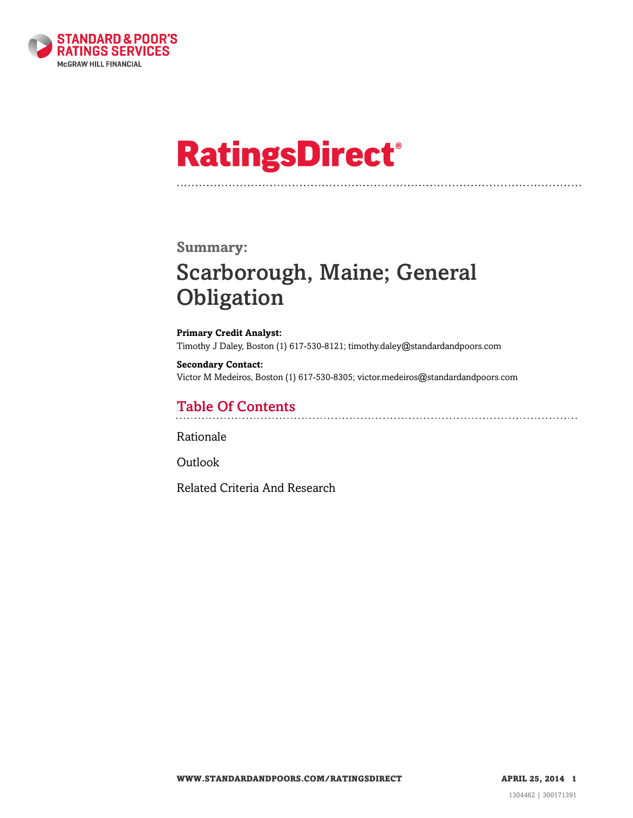

# **RatingsDirect®**

### **Summary:**

# Scarborough, Maine; General **Obligation**

**Primary Credit Analyst:** Timothy J Daley, Boston (1) 617-530-8121; timothy.daley@standardandpoors.com

**Secondary Contact:** Victor M Medeiros, Boston (1) 617-530-8305; victor.medeiros@standardandpoors.com

### Table Of Contents

[Rationale](#page-1-0)

[Outlook](#page-3-0)

[Related Criteria And Research](#page-3-1)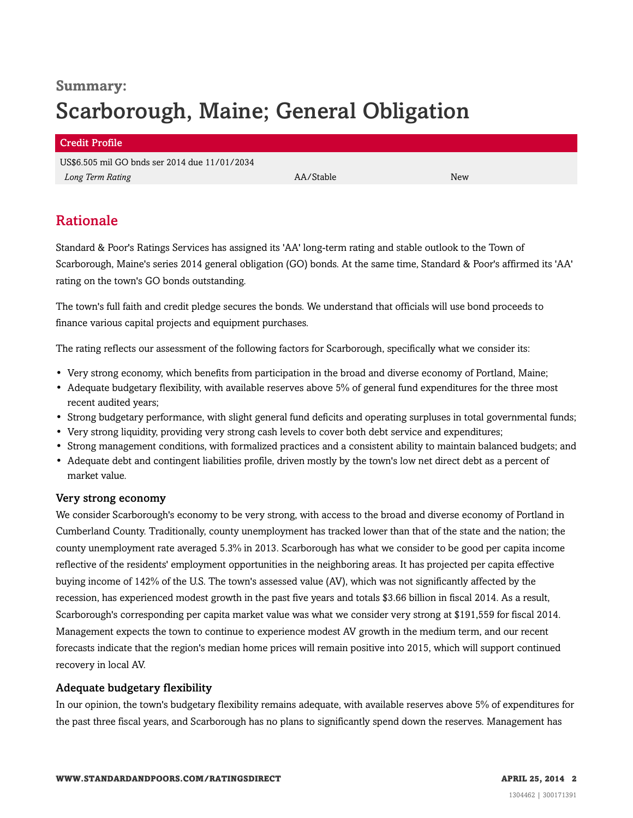# **Summary:** Scarborough, Maine; General Obligation

#### Credit Profile

US\$6.505 mil GO bnds ser 2014 due 11/01/2034 *Long Term Rating* AA/Stable New

# <span id="page-1-0"></span>Rationale

Standard & Poor's Ratings Services has assigned its 'AA' long-term rating and stable outlook to the Town of Scarborough, Maine's series 2014 general obligation (GO) bonds. At the same time, Standard & Poor's affirmed its 'AA' rating on the town's GO bonds outstanding.

The town's full faith and credit pledge secures the bonds. We understand that officials will use bond proceeds to finance various capital projects and equipment purchases.

The rating reflects our assessment of the following factors for Scarborough, specifically what we consider its:

- Very strong economy, which benefits from participation in the broad and diverse economy of Portland, Maine;
- Adequate budgetary flexibility, with available reserves above 5% of general fund expenditures for the three most recent audited years;
- Strong budgetary performance, with slight general fund deficits and operating surpluses in total governmental funds;
- Very strong liquidity, providing very strong cash levels to cover both debt service and expenditures;
- Strong management conditions, with formalized practices and a consistent ability to maintain balanced budgets; and
- Adequate debt and contingent liabilities profile, driven mostly by the town's low net direct debt as a percent of market value.

#### Very strong economy

We consider Scarborough's economy to be very strong, with access to the broad and diverse economy of Portland in Cumberland County. Traditionally, county unemployment has tracked lower than that of the state and the nation; the county unemployment rate averaged 5.3% in 2013. Scarborough has what we consider to be good per capita income reflective of the residents' employment opportunities in the neighboring areas. It has projected per capita effective buying income of 142% of the U.S. The town's assessed value (AV), which was not significantly affected by the recession, has experienced modest growth in the past five years and totals \$3.66 billion in fiscal 2014. As a result, Scarborough's corresponding per capita market value was what we consider very strong at \$191,559 for fiscal 2014. Management expects the town to continue to experience modest AV growth in the medium term, and our recent forecasts indicate that the region's median home prices will remain positive into 2015, which will support continued recovery in local AV.

#### Adequate budgetary flexibility

In our opinion, the town's budgetary flexibility remains adequate, with available reserves above 5% of expenditures for the past three fiscal years, and Scarborough has no plans to significantly spend down the reserves. Management has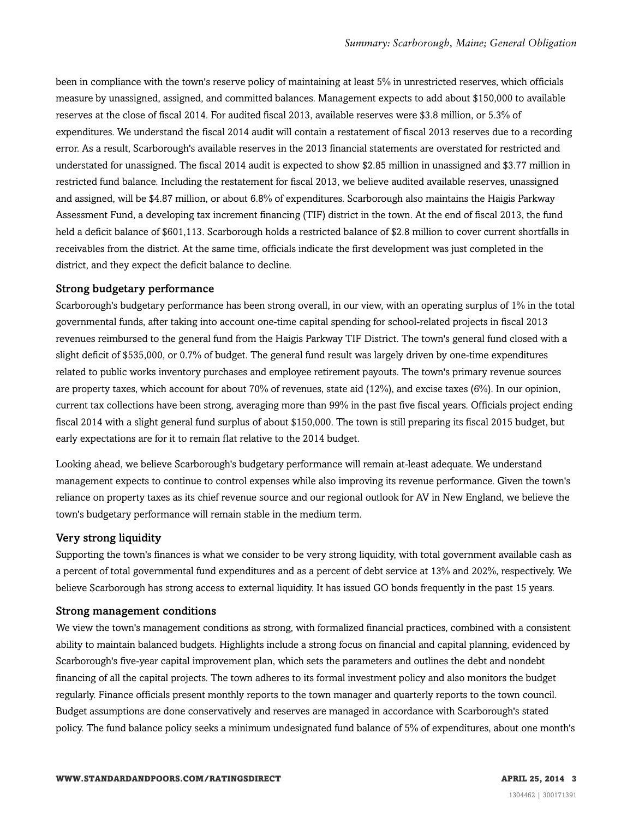been in compliance with the town's reserve policy of maintaining at least 5% in unrestricted reserves, which officials measure by unassigned, assigned, and committed balances. Management expects to add about \$150,000 to available reserves at the close of fiscal 2014. For audited fiscal 2013, available reserves were \$3.8 million, or 5.3% of expenditures. We understand the fiscal 2014 audit will contain a restatement of fiscal 2013 reserves due to a recording error. As a result, Scarborough's available reserves in the 2013 financial statements are overstated for restricted and understated for unassigned. The fiscal 2014 audit is expected to show \$2.85 million in unassigned and \$3.77 million in restricted fund balance. Including the restatement for fiscal 2013, we believe audited available reserves, unassigned and assigned, will be \$4.87 million, or about 6.8% of expenditures. Scarborough also maintains the Haigis Parkway Assessment Fund, a developing tax increment financing (TIF) district in the town. At the end of fiscal 2013, the fund held a deficit balance of \$601,113. Scarborough holds a restricted balance of \$2.8 million to cover current shortfalls in receivables from the district. At the same time, officials indicate the first development was just completed in the district, and they expect the deficit balance to decline.

#### Strong budgetary performance

Scarborough's budgetary performance has been strong overall, in our view, with an operating surplus of 1% in the total governmental funds, after taking into account one-time capital spending for school-related projects in fiscal 2013 revenues reimbursed to the general fund from the Haigis Parkway TIF District. The town's general fund closed with a slight deficit of \$535,000, or 0.7% of budget. The general fund result was largely driven by one-time expenditures related to public works inventory purchases and employee retirement payouts. The town's primary revenue sources are property taxes, which account for about 70% of revenues, state aid (12%), and excise taxes (6%). In our opinion, current tax collections have been strong, averaging more than 99% in the past five fiscal years. Officials project ending fiscal 2014 with a slight general fund surplus of about \$150,000. The town is still preparing its fiscal 2015 budget, but early expectations are for it to remain flat relative to the 2014 budget.

Looking ahead, we believe Scarborough's budgetary performance will remain at-least adequate. We understand management expects to continue to control expenses while also improving its revenue performance. Given the town's reliance on property taxes as its chief revenue source and our regional outlook for AV in New England, we believe the town's budgetary performance will remain stable in the medium term.

#### Very strong liquidity

Supporting the town's finances is what we consider to be very strong liquidity, with total government available cash as a percent of total governmental fund expenditures and as a percent of debt service at 13% and 202%, respectively. We believe Scarborough has strong access to external liquidity. It has issued GO bonds frequently in the past 15 years.

#### Strong management conditions

We view the town's management conditions as strong, with formalized financial practices, combined with a consistent ability to maintain balanced budgets. Highlights include a strong focus on financial and capital planning, evidenced by Scarborough's five-year capital improvement plan, which sets the parameters and outlines the debt and nondebt financing of all the capital projects. The town adheres to its formal investment policy and also monitors the budget regularly. Finance officials present monthly reports to the town manager and quarterly reports to the town council. Budget assumptions are done conservatively and reserves are managed in accordance with Scarborough's stated policy. The fund balance policy seeks a minimum undesignated fund balance of 5% of expenditures, about one month's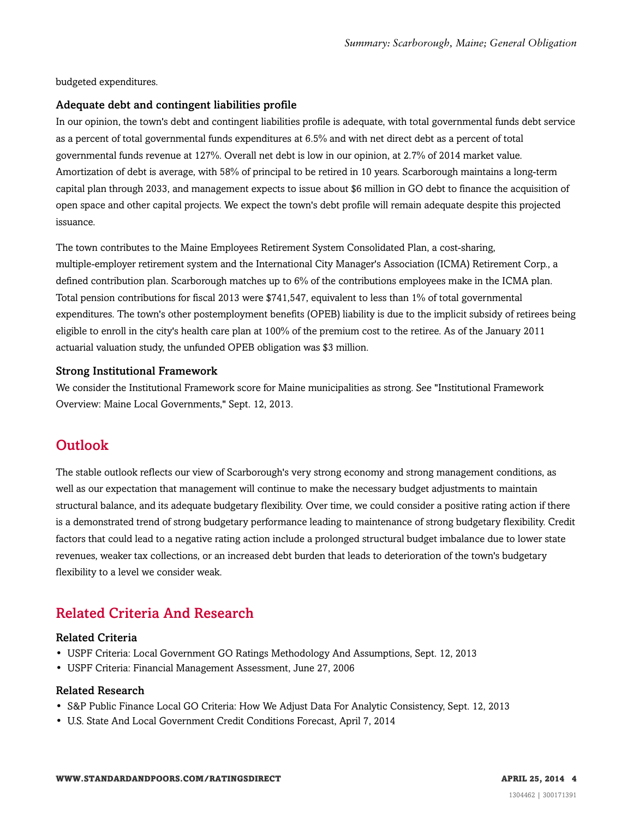budgeted expenditures.

#### Adequate debt and contingent liabilities profile

In our opinion, the town's debt and contingent liabilities profile is adequate, with total governmental funds debt service as a percent of total governmental funds expenditures at 6.5% and with net direct debt as a percent of total governmental funds revenue at 127%. Overall net debt is low in our opinion, at 2.7% of 2014 market value. Amortization of debt is average, with 58% of principal to be retired in 10 years. Scarborough maintains a long-term capital plan through 2033, and management expects to issue about \$6 million in GO debt to finance the acquisition of open space and other capital projects. We expect the town's debt profile will remain adequate despite this projected issuance.

The town contributes to the Maine Employees Retirement System Consolidated Plan, a cost-sharing, multiple-employer retirement system and the International City Manager's Association (ICMA) Retirement Corp., a defined contribution plan. Scarborough matches up to 6% of the contributions employees make in the ICMA plan. Total pension contributions for fiscal 2013 were \$741,547, equivalent to less than 1% of total governmental expenditures. The town's other postemployment benefits (OPEB) liability is due to the implicit subsidy of retirees being eligible to enroll in the city's health care plan at 100% of the premium cost to the retiree. As of the January 2011 actuarial valuation study, the unfunded OPEB obligation was \$3 million.

#### Strong Institutional Framework

We consider the Institutional Framework score for Maine municipalities as strong. See "Institutional Framework Overview: Maine Local Governments," Sept. 12, 2013.

## <span id="page-3-0"></span>Outlook

The stable outlook reflects our view of Scarborough's very strong economy and strong management conditions, as well as our expectation that management will continue to make the necessary budget adjustments to maintain structural balance, and its adequate budgetary flexibility. Over time, we could consider a positive rating action if there is a demonstrated trend of strong budgetary performance leading to maintenance of strong budgetary flexibility. Credit factors that could lead to a negative rating action include a prolonged structural budget imbalance due to lower state revenues, weaker tax collections, or an increased debt burden that leads to deterioration of the town's budgetary flexibility to a level we consider weak.

# <span id="page-3-1"></span>Related Criteria And Research

#### Related Criteria

- USPF Criteria: Local Government GO Ratings Methodology And Assumptions, Sept. 12, 2013
- USPF Criteria: Financial Management Assessment, June 27, 2006

#### Related Research

- S&P Public Finance Local GO Criteria: How We Adjust Data For Analytic Consistency, Sept. 12, 2013
- U.S. State And Local Government Credit Conditions Forecast, April 7, 2014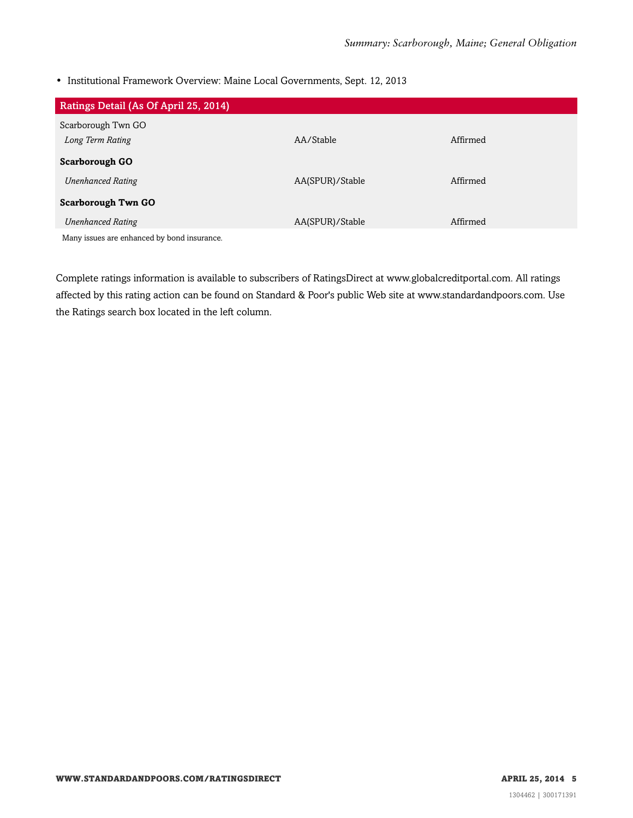• Institutional Framework Overview: Maine Local Governments, Sept. 12, 2013

| Ratings Detail (As Of April 25, 2014)       |                 |          |
|---------------------------------------------|-----------------|----------|
| Scarborough Twn GO                          |                 |          |
| Long Term Rating                            | AA/Stable       | Affirmed |
| <b>Scarborough GO</b>                       |                 |          |
| <b>Unenhanced Rating</b>                    | AA(SPUR)/Stable | Affirmed |
| <b>Scarborough Twn GO</b>                   |                 |          |
| <b>Unenhanced Rating</b>                    | AA(SPUR)/Stable | Affirmed |
| Many issues are enhanced by bond insurance. |                 |          |

Complete ratings information is available to subscribers of RatingsDirect at www.globalcreditportal.com. All ratings affected by this rating action can be found on Standard & Poor's public Web site at www.standardandpoors.com. Use the Ratings search box located in the left column.